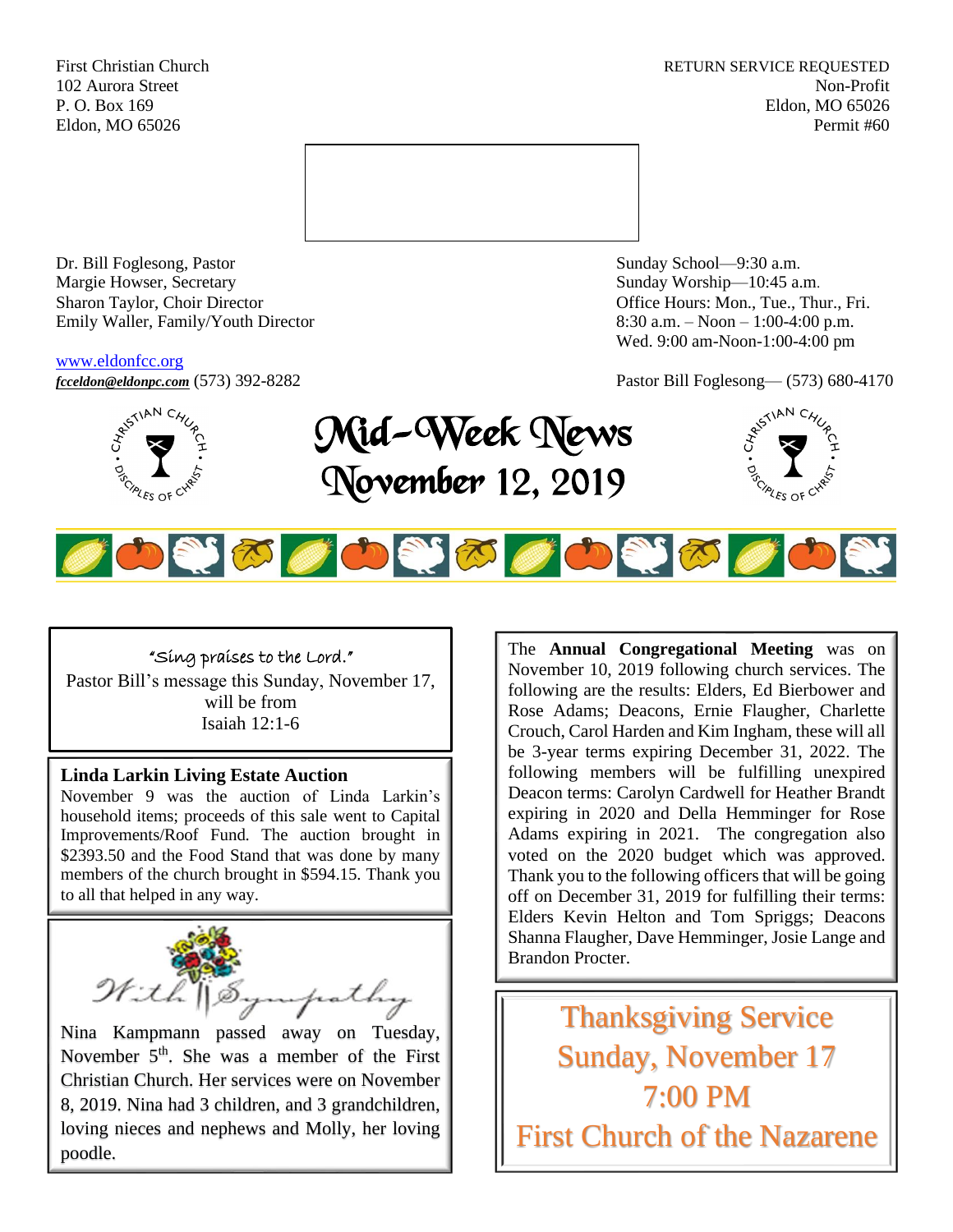First Christian Church **RETURN SERVICE REQUESTED** 102 Aurora Street Non-Profit P. O. Box 169 Eldon, MO 65026 Eldon, MO 65026 Permit #60



Dr. Bill Foglesong, Pastor Sunday School—9:30 a.m. Margie Howser, Secretary Sunday Worship—10:45 a.m. Sharon Taylor, Choir Director **Channel Controllering Controllering Controllering Controllering Controllering Controllering Controllering Controllering Controllering Controllering Controllering Controllering Controllering C** Emily Waller, Family/Youth Director 8:30 a.m. – Noon – 1:00-4:00 p.m.

#### [www.eldonfcc.org](http://www.eldonfcc.org/)

Wed. 9:00 am-Noon-1:00-4:00 pm



# *[fcceldon@eldonpc.com](mailto:fcceldon@eldonpc.com)* (573) 392-8282 Pastor Bill Foglesong— (573) 680-4170<br>  $\delta^{5^{5/14N}C_{4'}/C_{2}}$  **Mid-Wook Mones** Mid-Week News November 12, 2019





### "Sing praises to the Lord."

Pastor Bill's message this Sunday, November 17, will be from Isaiah 12:1-6

### **Linda Larkin Living Estate Auction**

November 9 was the auction of Linda Larkin's household items; proceeds of this sale went to Capital Improvements/Roof Fund. The auction brought in \$2393.50 and the Food Stand that was done by many members of the church brought in \$594.15. Thank you to all that helped in any way.



Nina Kampmann passed away on Tuesday, November  $5<sup>th</sup>$ . She was a member of the First Christian Church. Her services were on November 8, 2019. Nina had 3 children, and 3 grandchildren, loving nieces and nephews and Molly, her loving poodle.

The **Annual Congregational Meeting** was on November 10, 2019 following church services. The following are the results: Elders, Ed Bierbower and Rose Adams; Deacons, Ernie Flaugher, Charlette Crouch, Carol Harden and Kim Ingham, these will all be 3-year terms expiring December 31, 2022. The following members will be fulfilling unexpired Deacon terms: Carolyn Cardwell for Heather Brandt expiring in 2020 and Della Hemminger for Rose Adams expiring in 2021. The congregation also voted on the 2020 budget which was approved. Thank you to the following officers that will be going off on December 31, 2019 for fulfilling their terms: Elders Kevin Helton and Tom Spriggs; Deacons Shanna Flaugher, Dave Hemminger, Josie Lange and Brandon Procter.

Thanksgiving Service Sunday, November 17 7:00 PM First Church of the Nazarene